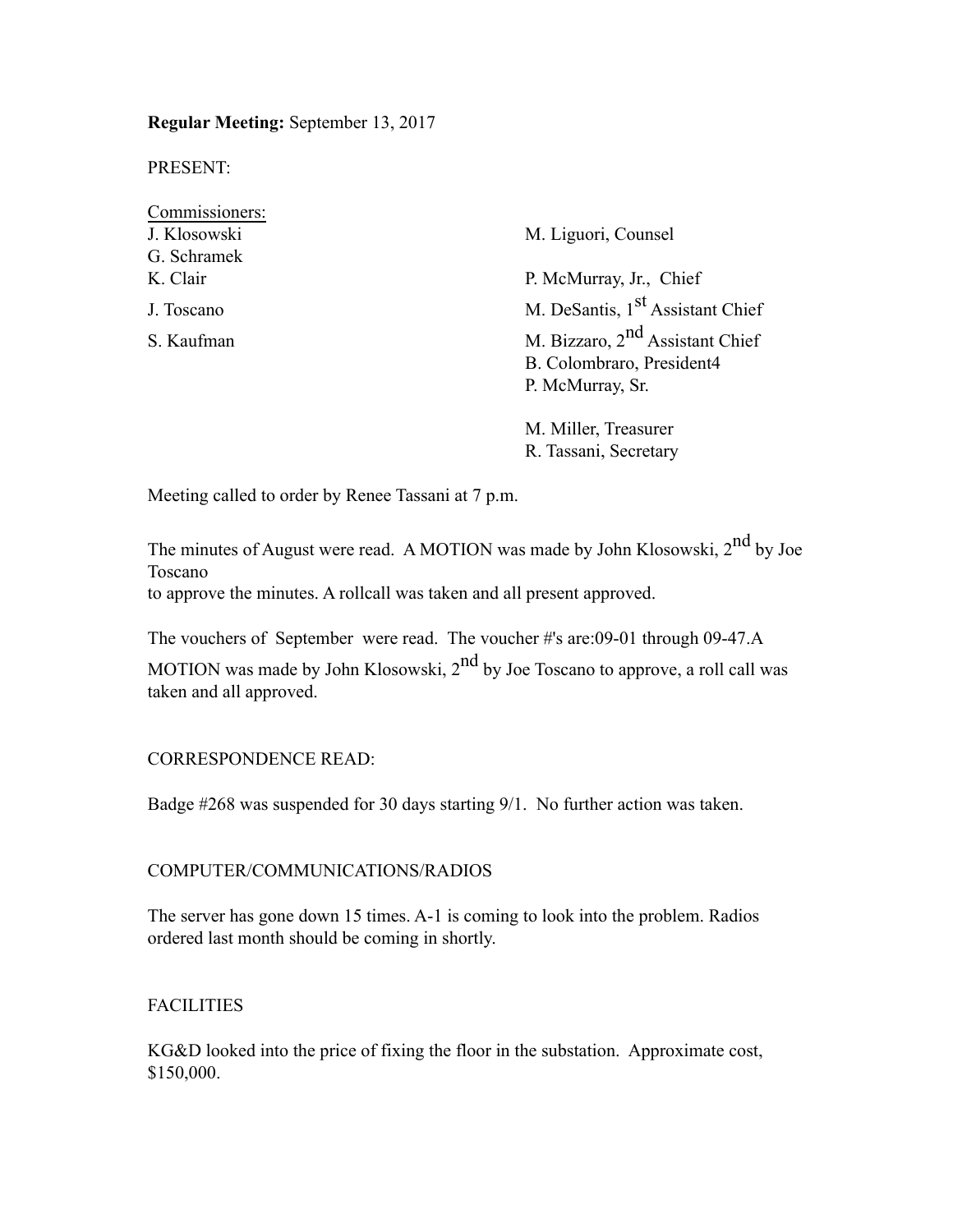**Regular Meeting:** September 13, 2017

PRESENT:

| Commissioners: |                                              |  |
|----------------|----------------------------------------------|--|
| J. Klosowski   | M. Liguori, Counsel                          |  |
| G. Schramek    |                                              |  |
| K. Clair       | P. McMurray, Jr., Chief                      |  |
| J. Toscano     | M. DeSantis, 1 <sup>st</sup> Assistant Chief |  |
| S. Kaufman     | M. Bizzaro, $2nd$ Assistant Chief            |  |
|                | B. Colombraro, President4                    |  |
|                | P. McMurray, Sr.                             |  |
|                | M. Miller, Treasurer                         |  |

R. Tassani, Secretary

Meeting called to order by Renee Tassani at 7 p.m.

The minutes of August were read. A MOTION was made by John Klosowski, 2<sup>nd</sup> by Joe Toscano

to approve the minutes. A rollcall was taken and all present approved.

The vouchers of September were read. The voucher #'s are:09-01 through 09-47.A

MOTION was made by John Klosowski,  $2<sup>nd</sup>$  by Joe Toscano to approve, a roll call was taken and all approved.

#### CORRESPONDENCE READ:

Badge #268 was suspended for 30 days starting 9/1. No further action was taken.

#### COMPUTER/COMMUNICATIONS/RADIOS

The server has gone down 15 times. A-1 is coming to look into the problem. Radios ordered last month should be coming in shortly.

## FACILITIES

KG&D looked into the price of fixing the floor in the substation. Approximate cost, \$150,000.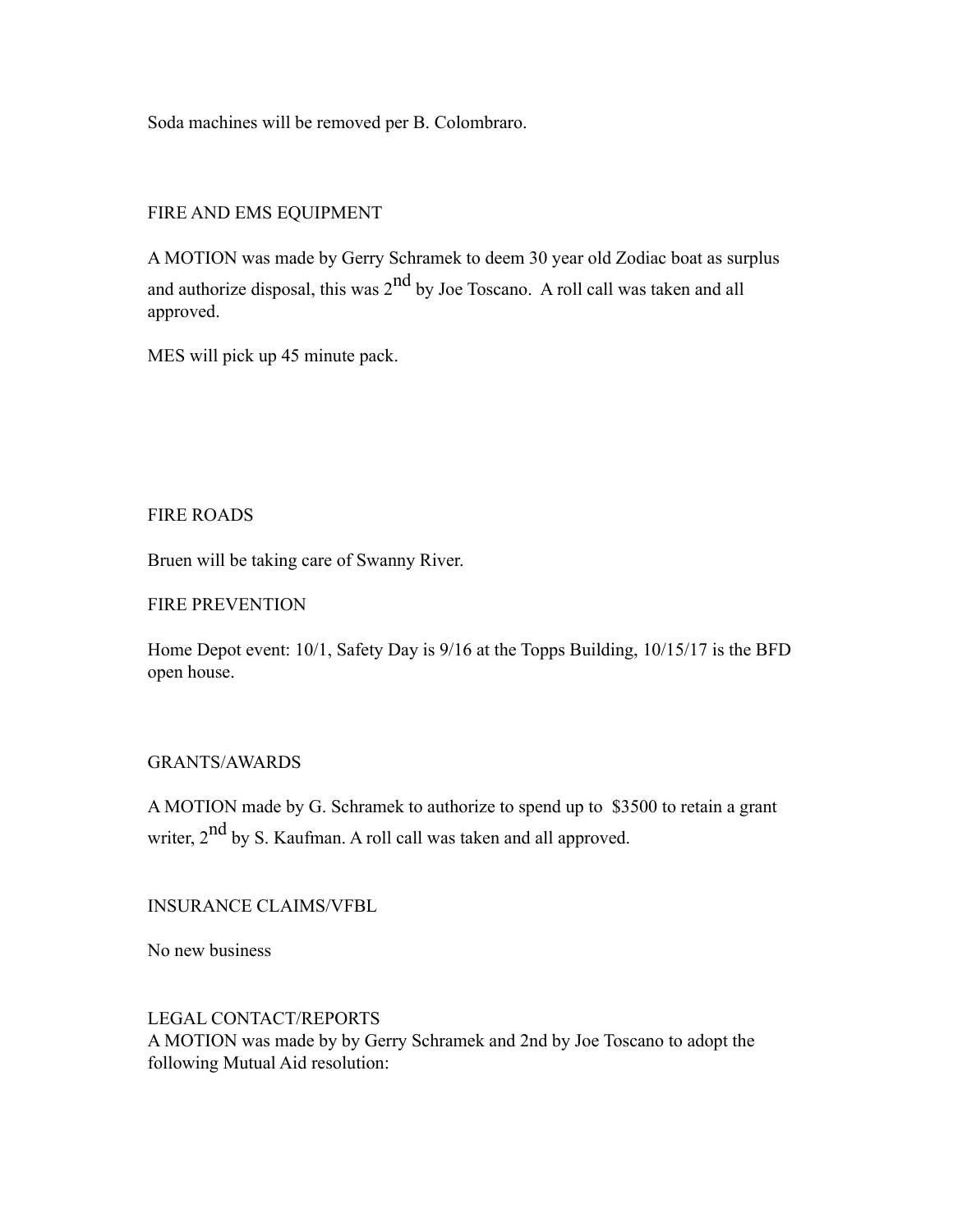Soda machines will be removed per B. Colombraro.

# FIRE AND EMS EQUIPMENT

A MOTION was made by Gerry Schramek to deem 30 year old Zodiac boat as surplus and authorize disposal, this was  $2^{nd}$  by Joe Toscano. A roll call was taken and all approved.

MES will pick up 45 minute pack.

### FIRE ROADS

Bruen will be taking care of Swanny River.

### FIRE PREVENTION

Home Depot event: 10/1, Safety Day is 9/16 at the Topps Building, 10/15/17 is the BFD open house.

## GRANTS/AWARDS

A MOTION made by G. Schramek to authorize to spend up to \$3500 to retain a grant writer, 2<sup>nd</sup> by S. Kaufman. A roll call was taken and all approved.

## INSURANCE CLAIMS/VFBL

No new business

## LEGAL CONTACT/REPORTS

A MOTION was made by by Gerry Schramek and 2nd by Joe Toscano to adopt the following Mutual Aid resolution: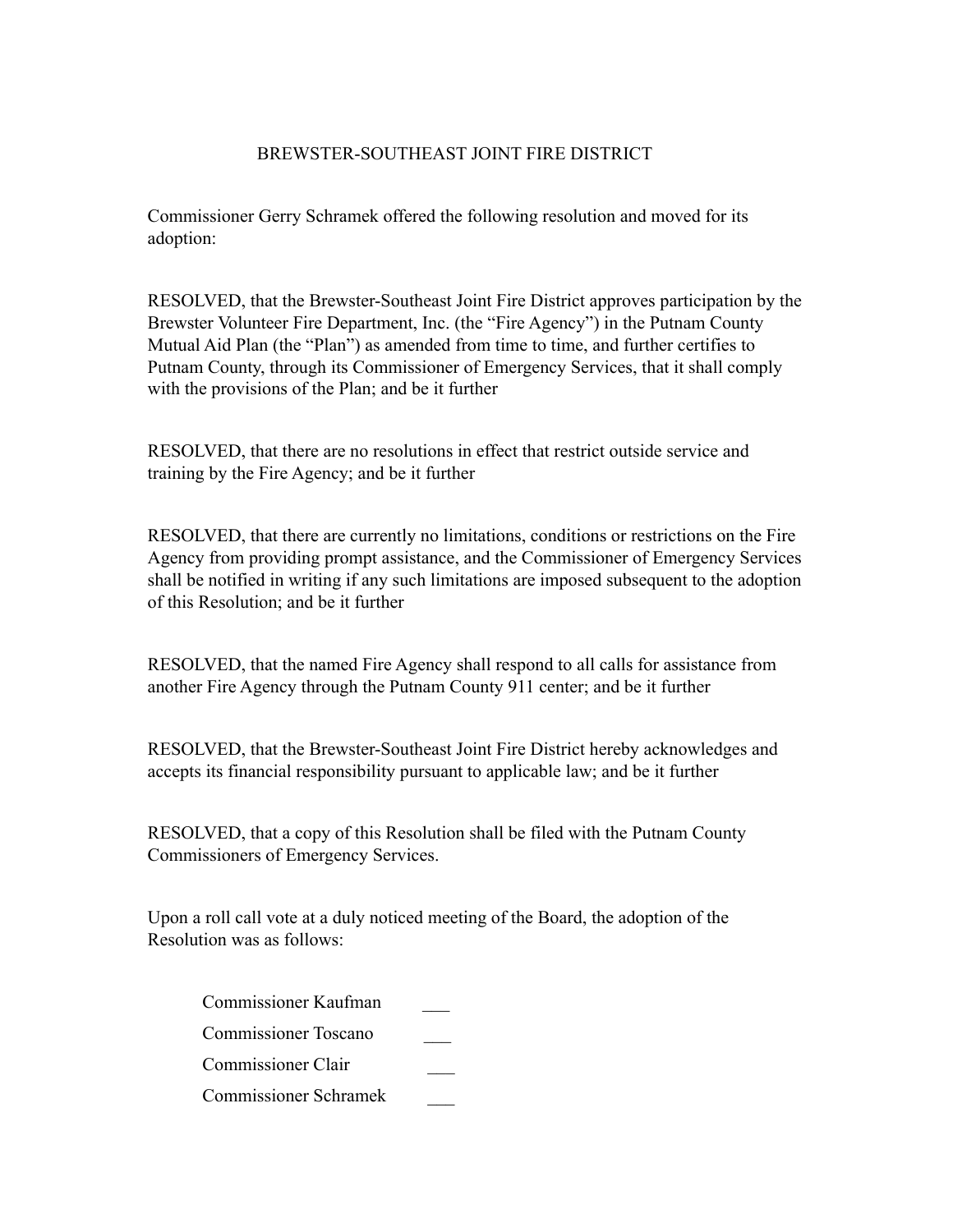### BREWSTER-SOUTHEAST JOINT FIRE DISTRICT

Commissioner Gerry Schramek offered the following resolution and moved for its adoption:

RESOLVED, that the Brewster-Southeast Joint Fire District approves participation by the Brewster Volunteer Fire Department, Inc. (the "Fire Agency") in the Putnam County Mutual Aid Plan (the "Plan") as amended from time to time, and further certifies to Putnam County, through its Commissioner of Emergency Services, that it shall comply with the provisions of the Plan; and be it further

RESOLVED, that there are no resolutions in effect that restrict outside service and training by the Fire Agency; and be it further

RESOLVED, that there are currently no limitations, conditions or restrictions on the Fire Agency from providing prompt assistance, and the Commissioner of Emergency Services shall be notified in writing if any such limitations are imposed subsequent to the adoption of this Resolution; and be it further

RESOLVED, that the named Fire Agency shall respond to all calls for assistance from another Fire Agency through the Putnam County 911 center; and be it further

RESOLVED, that the Brewster-Southeast Joint Fire District hereby acknowledges and accepts its financial responsibility pursuant to applicable law; and be it further

RESOLVED, that a copy of this Resolution shall be filed with the Putnam County Commissioners of Emergency Services.

Upon a roll call vote at a duly noticed meeting of the Board, the adoption of the Resolution was as follows:

 Commissioner Kaufman \_\_\_ Commissioner Toscano \_\_\_

Commissioner Clair \_\_\_

Commissioner Schramek \_\_\_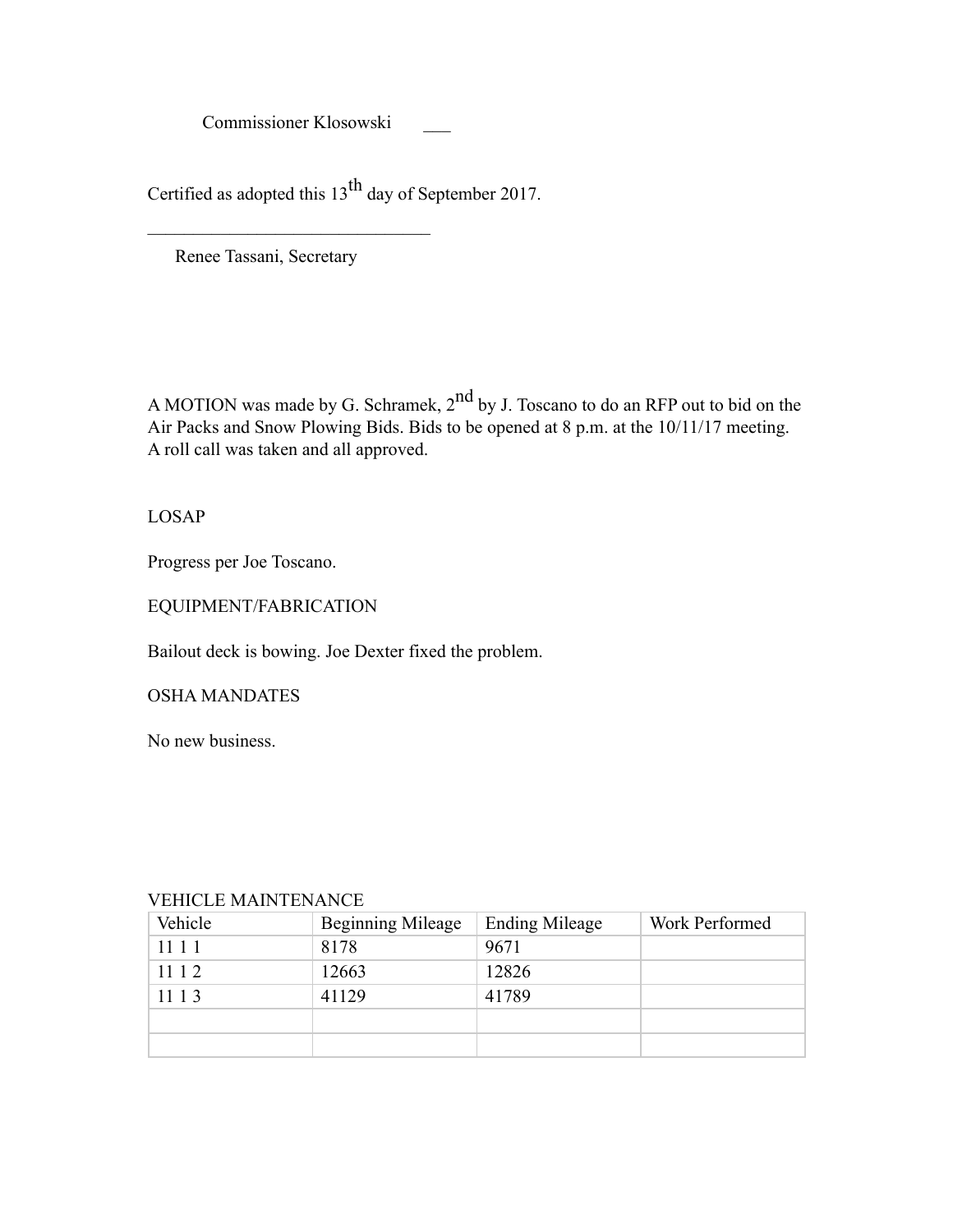Commissioner Klosowski \_\_\_

Certified as adopted this 13<sup>th</sup> day of September 2017.

Renee Tassani, Secretary

 $\mathcal{L}_\text{max}$ 

A MOTION was made by G. Schramek,  $2<sup>nd</sup>$  by J. Toscano to do an RFP out to bid on the Air Packs and Snow Plowing Bids. Bids to be opened at 8 p.m. at the 10/11/17 meeting. A roll call was taken and all approved.

LOSAP

Progress per Joe Toscano.

EQUIPMENT/FABRICATION

Bailout deck is bowing. Joe Dexter fixed the problem.

OSHA MANDATES

No new business.

| VELILLE MAINTENANCE |                          |                       |                |  |
|---------------------|--------------------------|-----------------------|----------------|--|
| Vehicle             | <b>Beginning Mileage</b> | <b>Ending Mileage</b> | Work Performed |  |
| 11 1 1              | 8178                     | 9671                  |                |  |
| 11 1 2              | 12663                    | 12826                 |                |  |
| 1113                | 41129                    | 41789                 |                |  |
|                     |                          |                       |                |  |
|                     |                          |                       |                |  |

#### VEHICLE MAINTENANCE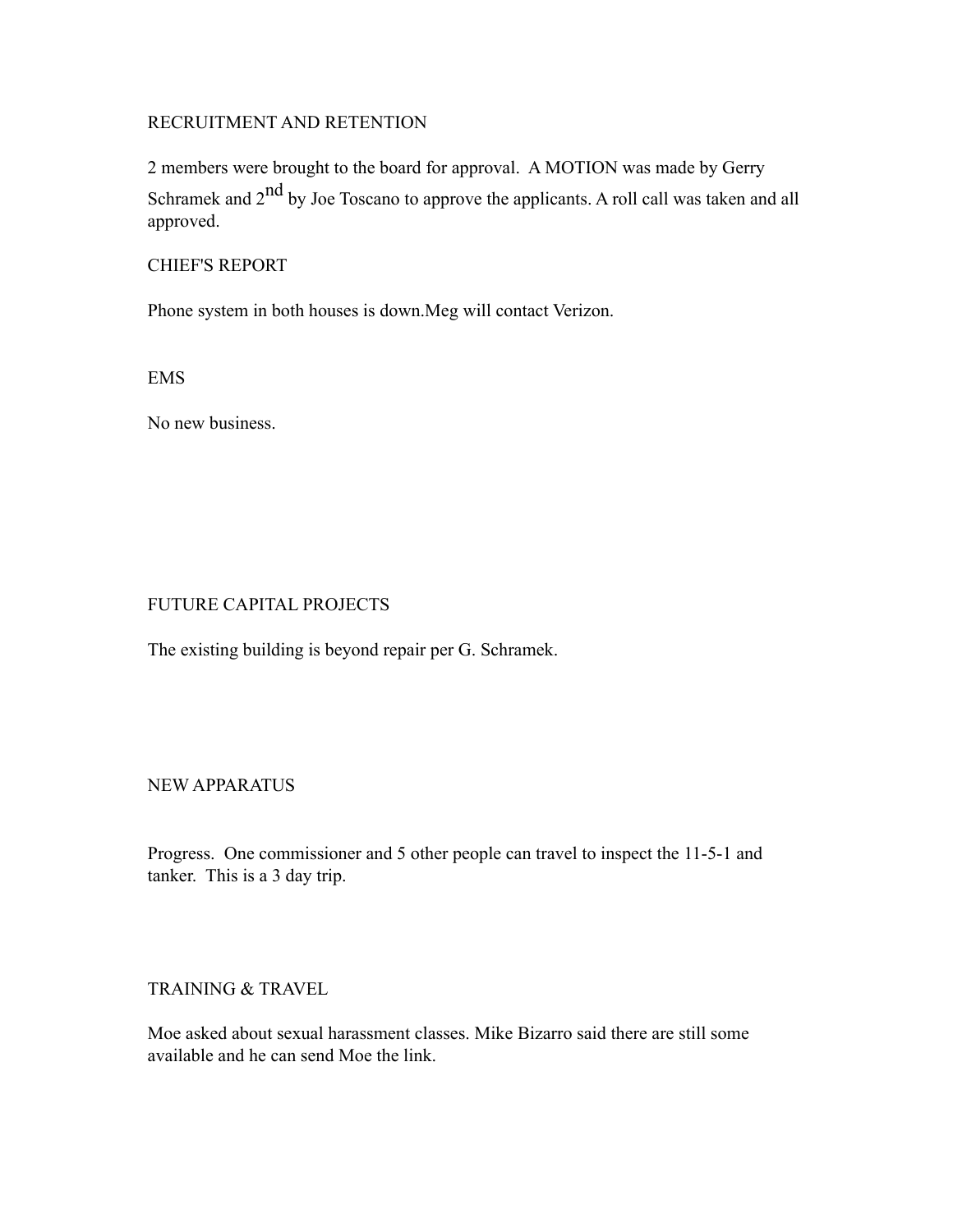### RECRUITMENT AND RETENTION

2 members were brought to the board for approval. A MOTION was made by Gerry Schramek and  $2<sup>nd</sup>$  by Joe Toscano to approve the applicants. A roll call was taken and all approved.

#### CHIEF'S REPORT

Phone system in both houses is down.Meg will contact Verizon.

EMS

No new business.

#### FUTURE CAPITAL PROJECTS

The existing building is beyond repair per G. Schramek.

#### NEW APPARATUS

Progress. One commissioner and 5 other people can travel to inspect the 11-5-1 and tanker. This is a 3 day trip.

### TRAINING & TRAVEL

Moe asked about sexual harassment classes. Mike Bizarro said there are still some available and he can send Moe the link.